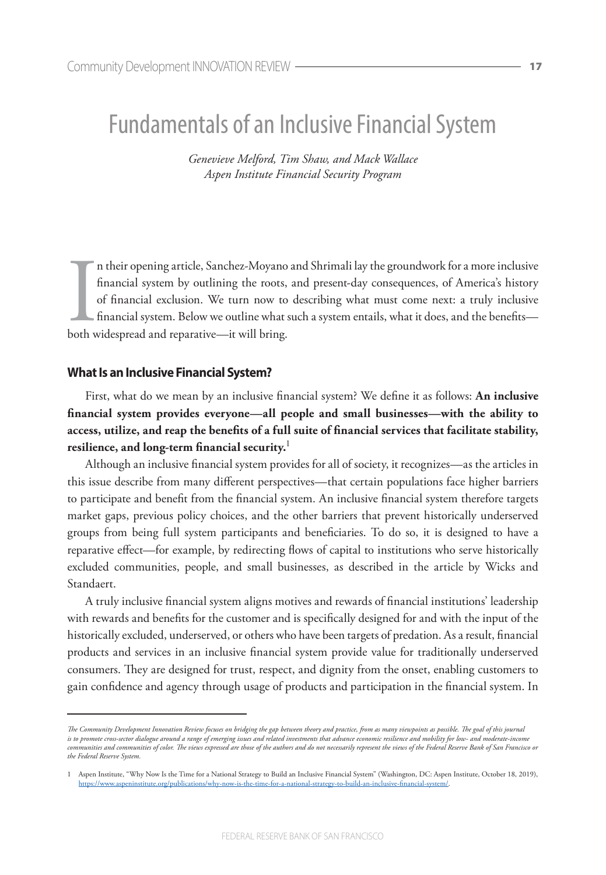# Fundamentals of an Inclusive Financial System

*Genevieve Melford, Tim Shaw, and Mack Wallace Aspen Institute Financial Security Program* 

In their opening article, Sanchez-Moyano<br>financial system by outlining the roots,<br>of financial exclusion. We turn now to<br>financial system. Below we outline what s<br>both widespread and reparative—it will bring. n their opening article, Sanchez-Moyano and Shrimali lay the groundwork for a more inclusive financial system by outlining the roots, and present-day consequences, of America's history of financial exclusion. We turn now to describing what must come next: a truly inclusive financial system. Below we outline what such a system entails, what it does, and the benefits—

# **What Is an Inclusive Financial System?**

First, what do we mean by an inclusive financial system? We define it as follows: **An inclusive financial system provides everyone—all people and small businesses—with the ability to access, utilize, and reap the benefits of a full suite of financial services that facilitate stability, resilience, and long-term financial security.**<sup>1</sup>

Although an inclusive financial system provides for all of society, it recognizes—as the articles in this issue describe from many different perspectives—that certain populations face higher barriers to participate and benefit from the financial system. An inclusive financial system therefore targets market gaps, previous policy choices, and the other barriers that prevent historically underserved groups from being full system participants and beneficiaries. To do so, it is designed to have a reparative effect—for example, by redirecting flows of capital to institutions who serve historically excluded communities, people, and small businesses, as described in the article by Wicks and Standaert.

A truly inclusive financial system aligns motives and rewards of financial institutions' leadership with rewards and benefits for the customer and is specifically designed for and with the input of the historically excluded, underserved, or others who have been targets of predation. As a result, financial products and services in an inclusive financial system provide value for traditionally underserved consumers. They are designed for trust, respect, and dignity from the onset, enabling customers to gain confidence and agency through usage of products and participation in the financial system. In

*The Community Development Innovation Review focuses on bridging the gap between theory and practice, from as many viewpoints as possible. The goal of this journal is to promote cross-sector dialogue around a range of emerging issues and related investments that advance economic resilience and mobility for low- and moderate-income communities and communities of color. The views expressed are those of the authors and do not necessarily represent the views of the Federal Reserve Bank of San Francisco or the Federal Reserve System.*

<sup>1</sup> Aspen Institute, "Why Now Is the Time for a National Strategy to Build an Inclusive Financial System" (Washington, DC: Aspen Institute, October 18, 2019), https://www.aspeninstitute.org/publications/why-now-is-the-time-for-a-national-strategy-to-build-an-inclusive-financial-system/.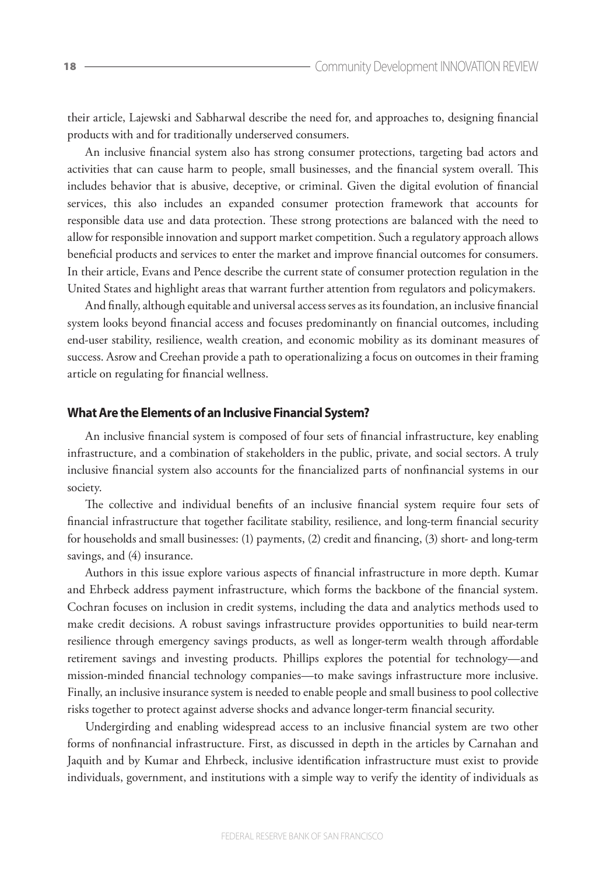their article, Lajewski and Sabharwal describe the need for, and approaches to, designing financial products with and for traditionally underserved consumers.

An inclusive financial system also has strong consumer protections, targeting bad actors and activities that can cause harm to people, small businesses, and the financial system overall. This includes behavior that is abusive, deceptive, or criminal. Given the digital evolution of financial services, this also includes an expanded consumer protection framework that accounts for responsible data use and data protection. These strong protections are balanced with the need to allow for responsible innovation and support market competition. Such a regulatory approach allows beneficial products and services to enter the market and improve financial outcomes for consumers. In their article, Evans and Pence describe the current state of consumer protection regulation in the United States and highlight areas that warrant further attention from regulators and policymakers.

And finally, although equitable and universal access serves as its foundation, an inclusive financial system looks beyond financial access and focuses predominantly on financial outcomes, including end-user stability, resilience, wealth creation, and economic mobility as its dominant measures of success. Asrow and Creehan provide a path to operationalizing a focus on outcomes in their framing article on regulating for financial wellness.

### **What Are the Elements of an Inclusive Financial System?**

An inclusive financial system is composed of four sets of financial infrastructure, key enabling infrastructure, and a combination of stakeholders in the public, private, and social sectors. A truly inclusive financial system also accounts for the financialized parts of nonfinancial systems in our society.

The collective and individual benefits of an inclusive financial system require four sets of financial infrastructure that together facilitate stability, resilience, and long-term financial security for households and small businesses: (1) payments, (2) credit and financing, (3) short- and long-term savings, and (4) insurance.

Authors in this issue explore various aspects of financial infrastructure in more depth. Kumar and Ehrbeck address payment infrastructure, which forms the backbone of the financial system. Cochran focuses on inclusion in credit systems, including the data and analytics methods used to make credit decisions. A robust savings infrastructure provides opportunities to build near-term resilience through emergency savings products, as well as longer-term wealth through affordable retirement savings and investing products. Phillips explores the potential for technology—and mission-minded financial technology companies—to make savings infrastructure more inclusive. Finally, an inclusive insurance system is needed to enable people and small business to pool collective risks together to protect against adverse shocks and advance longer-term financial security.

Undergirding and enabling widespread access to an inclusive financial system are two other forms of nonfinancial infrastructure. First, as discussed in depth in the articles by Carnahan and Jaquith and by Kumar and Ehrbeck, inclusive identification infrastructure must exist to provide individuals, government, and institutions with a simple way to verify the identity of individuals as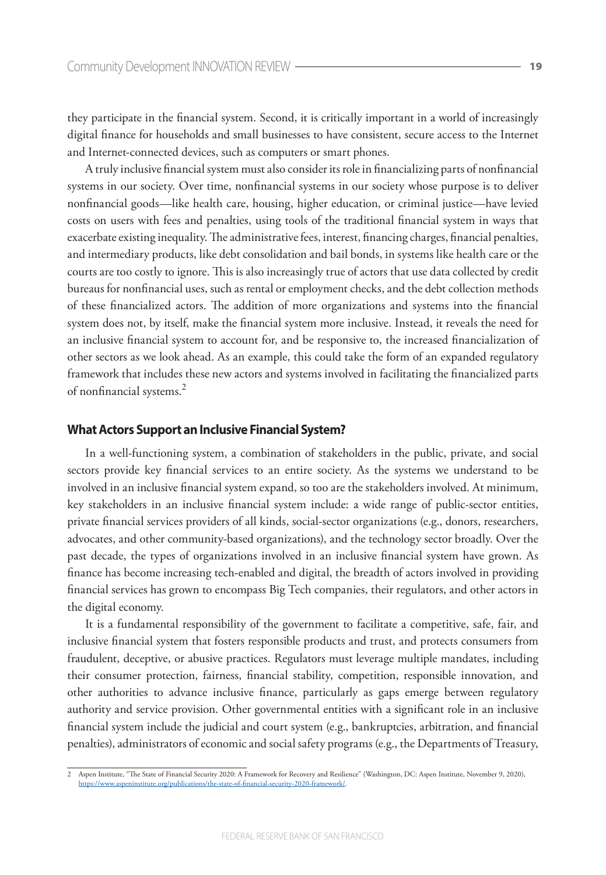they participate in the financial system. Second, it is critically important in a world of increasingly digital finance for households and small businesses to have consistent, secure access to the Internet and Internet-connected devices, such as computers or smart phones.

A truly inclusive financial system must also consider its role in financializing parts of nonfinancial systems in our society. Over time, nonfinancial systems in our society whose purpose is to deliver nonfinancial goods—like health care, housing, higher education, or criminal justice—have levied costs on users with fees and penalties, using tools of the traditional financial system in ways that exacerbate existing inequality. The administrative fees, interest, financing charges, financial penalties, and intermediary products, like debt consolidation and bail bonds, in systems like health care or the courts are too costly to ignore. This is also increasingly true of actors that use data collected by credit bureaus for nonfinancial uses, such as rental or employment checks, and the debt collection methods of these financialized actors. The addition of more organizations and systems into the financial system does not, by itself, make the financial system more inclusive. Instead, it reveals the need for an inclusive financial system to account for, and be responsive to, the increased financialization of other sectors as we look ahead. As an example, this could take the form of an expanded regulatory framework that includes these new actors and systems involved in facilitating the financialized parts of nonfinancial systems.<sup>2</sup>

#### **What Actors Support an Inclusive Financial System?**

In a well-functioning system, a combination of stakeholders in the public, private, and social sectors provide key financial services to an entire society. As the systems we understand to be involved in an inclusive financial system expand, so too are the stakeholders involved. At minimum, key stakeholders in an inclusive financial system include: a wide range of public-sector entities, private financial services providers of all kinds, social-sector organizations (e.g., donors, researchers, advocates, and other community-based organizations), and the technology sector broadly. Over the past decade, the types of organizations involved in an inclusive financial system have grown. As finance has become increasing tech-enabled and digital, the breadth of actors involved in providing financial services has grown to encompass Big Tech companies, their regulators, and other actors in the digital economy.

It is a fundamental responsibility of the government to facilitate a competitive, safe, fair, and inclusive financial system that fosters responsible products and trust, and protects consumers from fraudulent, deceptive, or abusive practices. Regulators must leverage multiple mandates, including their consumer protection, fairness, financial stability, competition, responsible innovation, and other authorities to advance inclusive finance, particularly as gaps emerge between regulatory authority and service provision. Other governmental entities with a significant role in an inclusive financial system include the judicial and court system (e.g., bankruptcies, arbitration, and financial penalties), administrators of economic and social safety programs (e.g., the Departments of Treasury,

<sup>2</sup> Aspen Institute, "The State of Financial Security 2020: A Framework for Recovery and Resilience" (Washington, DC: Aspen Institute, November 9, 2020), https://www.aspeninstitute.org/publications/the-state-of-financial-security-2020-framework/.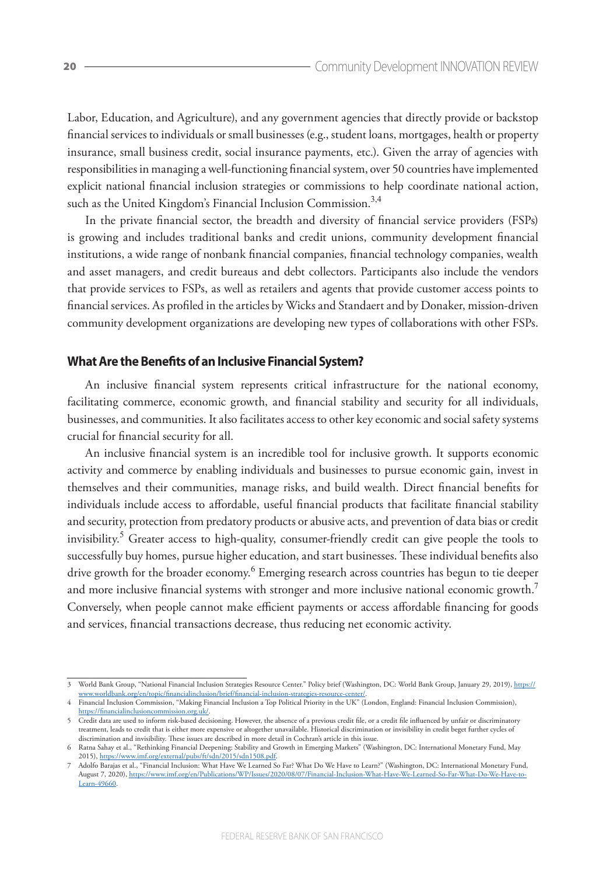Labor, Education, and Agriculture), and any government agencies that directly provide or backstop financial services to individuals or small businesses (e.g., student loans, mortgages, health or property insurance, small business credit, social insurance payments, etc.). Given the array of agencies with responsibilities in managing a well-functioning financial system, over 50 countries have implemented explicit national financial inclusion strategies or commissions to help coordinate national action, such as the United Kingdom's Financial Inclusion Commission. $^{3,4}$ 

In the private financial sector, the breadth and diversity of financial service providers (FSPs) is growing and includes traditional banks and credit unions, community development financial institutions, a wide range of nonbank financial companies, financial technology companies, wealth and asset managers, and credit bureaus and debt collectors. Participants also include the vendors that provide services to FSPs, as well as retailers and agents that provide customer access points to financial services. As profiled in the articles by Wicks and Standaert and by Donaker, mission-driven community development organizations are developing new types of collaborations with other FSPs.

# **What Are the Benefits of an Inclusive Financial System?**

An inclusive financial system represents critical infrastructure for the national economy, facilitating commerce, economic growth, and financial stability and security for all individuals, businesses, and communities. It also facilitates access to other key economic and social safety systems crucial for financial security for all.

An inclusive financial system is an incredible tool for inclusive growth. It supports economic activity and commerce by enabling individuals and businesses to pursue economic gain, invest in themselves and their communities, manage risks, and build wealth. Direct financial benefits for individuals include access to affordable, useful financial products that facilitate financial stability and security, protection from predatory products or abusive acts, and prevention of data bias or credit invisibility.<sup>5</sup> Greater access to high-quality, consumer-friendly credit can give people the tools to successfully buy homes, pursue higher education, and start businesses. These individual benefits also drive growth for the broader economy.<sup>6</sup> Emerging research across countries has begun to tie deeper and more inclusive financial systems with stronger and more inclusive national economic growth.<sup>7</sup> Conversely, when people cannot make efficient payments or access affordable financing for goods and services, financial transactions decrease, thus reducing net economic activity.

<sup>3</sup> World Bank Group, "National Financial Inclusion Strategies Resource Center." Policy brief (Washington, DC: World Bank Group, January 29, 2019), https:// rldbank.org/en/topic/financialinclusion/brief/financial-inclusion-strategies-resource-cent

<sup>4</sup> Financial Inclusion Commission, "Making Financial Inclusion a Top Political Priority in the UK" (London, England: Financial Inclusion Commission),<br>https://financialinclusion.commission.org.uk/. s://financialinclusion

<sup>5</sup> Credit data are used to inform risk-based decisioning. However, the absence of a previous credit file, or a credit file influenced by unfair or discriminatory treatment, leads to credit that is either more expensive or altogether unavailable. Historical discrimination or invisibility in credit beget further cycles of discrimination and invisibility. These issues are described in more detail in Cochran's article in this issue.

<sup>6</sup> Ratna Sahay et al., "Rethinking Financial Deepening: Stability and Growth in Emerging Markets" (Washington, DC: International Monetary Fund, May 2015), <u>https://www.imf.org/external/pubs/ft/sdn/2015/sdn1508.pdf</u>.<br>7 Adolfo Barajas et al., "Financial Inclusion: What Have We Learned So Far? What Do We Have to Learn?" (Washington, DC: International Monetary Fund,

August 7, 2020), https://www.imf.org/en/Publications/WP/Issues/2020/08/07/Financial-Inclusion-What-Have-We-Learned-So-Far-What-Do-We-Have-to-Learn-49660.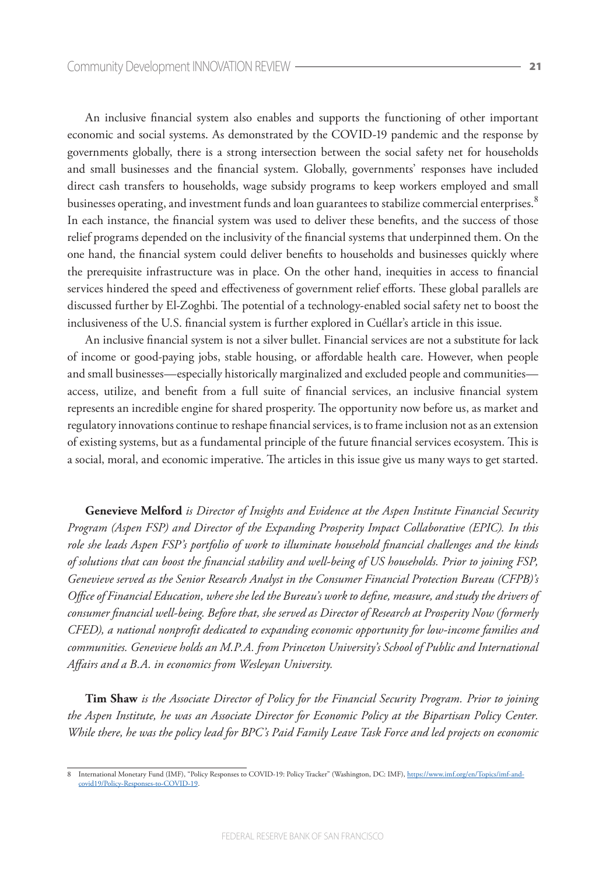An inclusive financial system also enables and supports the functioning of other important economic and social systems. As demonstrated by the COVID-19 pandemic and the response by governments globally, there is a strong intersection between the social safety net for households and small businesses and the financial system. Globally, governments' responses have included direct cash transfers to households, wage subsidy programs to keep workers employed and small businesses operating, and investment funds and loan guarantees to stabilize commercial enterprises.<sup>8</sup> In each instance, the financial system was used to deliver these benefits, and the success of those relief programs depended on the inclusivity of the financial systems that underpinned them. On the one hand, the financial system could deliver benefits to households and businesses quickly where the prerequisite infrastructure was in place. On the other hand, inequities in access to financial services hindered the speed and effectiveness of government relief efforts. These global parallels are discussed further by El-Zoghbi. The potential of a technology-enabled social safety net to boost the inclusiveness of the U.S. financial system is further explored in Cuéllar's article in this issue.

An inclusive financial system is not a silver bullet. Financial services are not a substitute for lack of income or good-paying jobs, stable housing, or affordable health care. However, when people and small businesses—especially historically marginalized and excluded people and communities access, utilize, and benefit from a full suite of financial services, an inclusive financial system represents an incredible engine for shared prosperity. The opportunity now before us, as market and regulatory innovations continue to reshape financial services, is to frame inclusion not as an extension of existing systems, but as a fundamental principle of the future financial services ecosystem. This is a social, moral, and economic imperative. The articles in this issue give us many ways to get started.

**Genevieve Melford** *is Director of Insights and Evidence at the Aspen Institute Financial Security Program (Aspen FSP) and Director of the Expanding Prosperity Impact Collaborative (EPIC). In this role she leads Aspen FSP's portfolio of work to illuminate household financial challenges and the kinds of solutions that can boost the financial stability and well-being of US households. Prior to joining FSP, Genevieve served as the Senior Research Analyst in the Consumer Financial Protection Bureau (CFPB)'s Office of Financial Education, where she led the Bureau's work to define, measure, and study the drivers of consumer financial well-being. Before that, she served as Director of Research at Prosperity Now (formerly CFED), a national nonprofit dedicated to expanding economic opportunity for low-income families and communities. Genevieve holds an M.P.A. from Princeton University's School of Public and International Affairs and a B.A. in economics from Wesleyan University.*

**Tim Shaw** *is the Associate Director of Policy for the Financial Security Program. Prior to joining the Aspen Institute, he was an Associate Director for Economic Policy at the Bipartisan Policy Center. While there, he was the policy lead for BPC's Paid Family Leave Task Force and led projects on economic* 

International Monetary Fund (IMF), "Policy Responses to COVID-19: Policy Tracker" (Washington, DC: IMF), https://www.imf.org/en/Topics/imf-andcovid19/Policy-Responses-to-COVID-19.